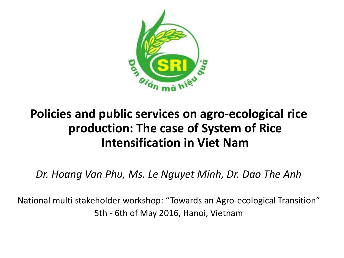

#### **Policies and public services on agro-ecological rice production: The case of System of Rice Intensification in Viet Nam**

*Dr. Hoang Van Phu, Ms. Le Nguyet Minh, Dr. Dao The Anh*

National multi stakeholder workshop: "Towards an Agro-ecological Transition" 5th - 6th of May 2016, Hanoi, Vietnam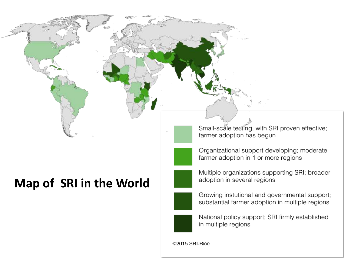

Small-scale testing, with SRI proven effective; farmer adoption has begun

Organizational support developing; moderate farmer adoption in 1 or more regions



Multiple organizations supporting SRI; broader adoption in several regions





National policy support; SRI firmly established in multiple regions

@2015 SRI-Rice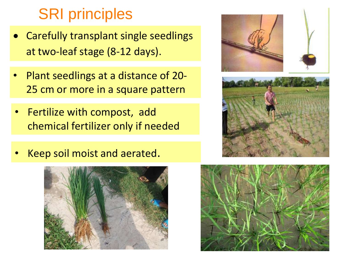### SRI principles

- Carefully transplant single seedlings at two-leaf stage (8-12 days).
- Plant seedlings at a distance of 20- 25 cm or more in a square pattern
- Fertilize with compost, add chemical fertilizer only if needed





• Keep soil moist and aerated.



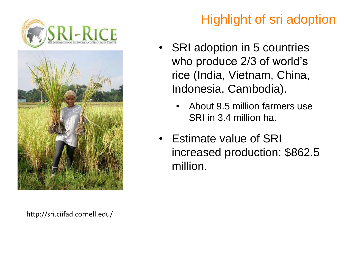

http://sri.ciifad.cornell.edu/

### Highlight of sri adoption

- SRI adoption in 5 countries who produce 2/3 of world's rice (India, Vietnam, China, Indonesia, Cambodia).
	- About 9.5 million farmers use SRI in 3.4 million ha.
- Estimate value of SRI increased production: \$862.5 million.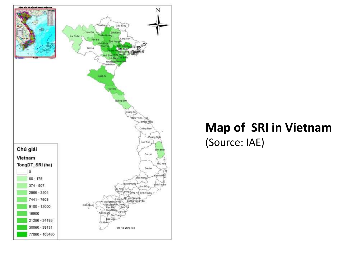

#### **Map of SRI in Vietnam** (Source: IAE)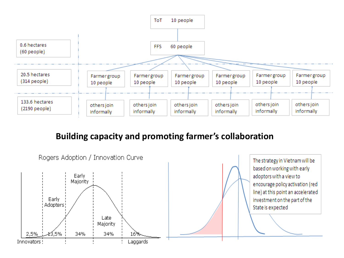

#### **Building capacity and promoting farmer's collaboration**

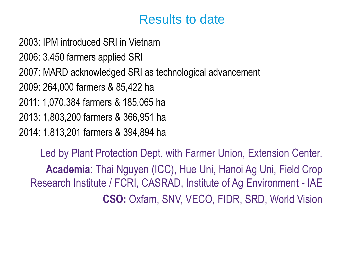#### Results to date

2003: IPM introduced SRI in Vietnam 2006: 3.450 farmers applied SRI 2007: MARD acknowledged SRI as technological advancement 2009: 264,000 farmers & 85,422 ha 2011: 1,070,384 farmers & 185,065 ha 2013: 1,803,200 farmers & 366,951 ha 2014: 1,813,201 farmers & 394,894 ha

Led by Plant Protection Dept. with Farmer Union, Extension Center. **Academia**: Thai Nguyen (ICC), Hue Uni, Hanoi Ag Uni, Field Crop Research Institute / FCRI, CASRAD, Institute of Ag Environment - IAE **CSO:** Oxfam, SNV, VECO, FIDR, SRD, World Vision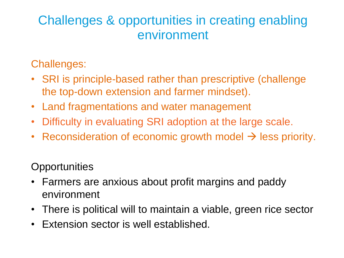#### Challenges & opportunities in creating enabling environment

Challenges:

- SRI is principle-based rather than prescriptive (challenge the top-down extension and farmer mindset).
- Land fragmentations and water management
- Difficulty in evaluating SRI adoption at the large scale.
- Reconsideration of economic growth model  $\rightarrow$  less priority.

**Opportunities** 

- Farmers are anxious about profit margins and paddy environment
- There is political will to maintain a viable, green rice sector
- Extension sector is well established.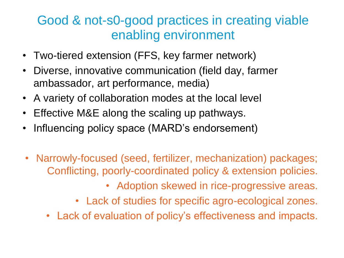#### Good & not-s0-good practices in creating viable enabling environment

- Two-tiered extension (FFS, key farmer network)
- Diverse, innovative communication (field day, farmer ambassador, art performance, media)
- A variety of collaboration modes at the local level
- Effective M&E along the scaling up pathways.
- Influencing policy space (MARD's endorsement)
- Narrowly-focused (seed, fertilizer, mechanization) packages; Conflicting, poorly-coordinated policy & extension policies.
	- Adoption skewed in rice-progressive areas.
	- Lack of studies for specific agro-ecological zones.
	- Lack of evaluation of policy's effectiveness and impacts.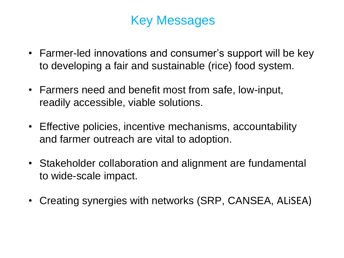#### Key Messages

- Farmer-led innovations and consumer's support will be key to developing a fair and sustainable (rice) food system.
- Farmers need and benefit most from safe, low-input, readily accessible, viable solutions.
- Effective policies, incentive mechanisms, accountability and farmer outreach are vital to adoption.
- Stakeholder collaboration and alignment are fundamental to wide-scale impact.
- Creating synergies with networks (SRP, CANSEA, ALiSEA)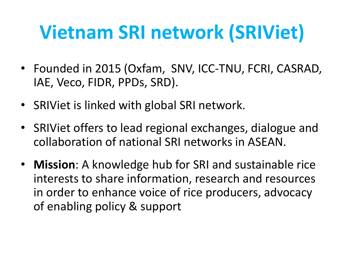## **Vietnam SRI network (SRIViet)**

- Founded in 2015 (Oxfam, SNV, ICC-TNU, FCRI, CASRAD, IAE, Veco, FIDR, PPDs, SRD).
- SRIViet is linked with global SRI network.
- SRIViet offers to lead regional exchanges, dialogue and collaboration of national SRI networks in ASEAN.
- **Mission**: A knowledge hub for SRI and sustainable rice interests to share information, research and resources in order to enhance voice of rice producers, advocacy of enabling policy & support